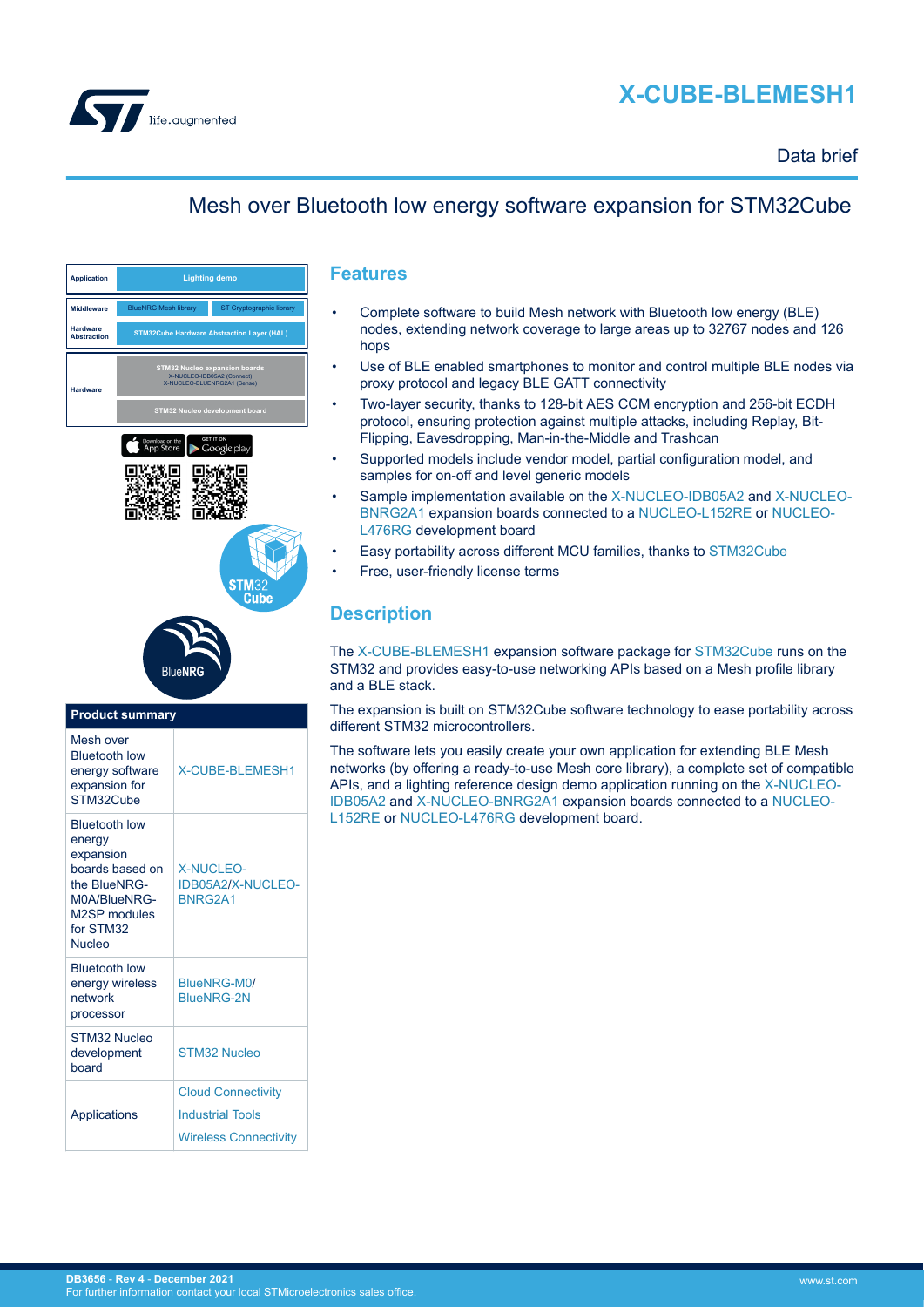

# **X-CUBE-BLEMESH1**

## Data brief

## Mesh over Bluetooth low energy software expansion for STM32Cube

| <b>Application</b>                    | <b>Lighting demo</b>                                                                              |                          |
|---------------------------------------|---------------------------------------------------------------------------------------------------|--------------------------|
| <b>Middleware</b>                     | <b>BlueNRG Mesh library</b>                                                                       | ST Cryptographic library |
| <b>Hardware</b><br><b>Abstraction</b> | <b>STM32Cube Hardware Abstraction Layer (HAL)</b>                                                 |                          |
| <b>Hardware</b>                       | <b>STM32 Nucleo expansion boards</b><br>X-NUCLEO-IDB05A2 (Connect)<br>X-NUCLEO-BLUENRG2A1 (Sense) |                          |
|                                       | STM32 Nucleo development board                                                                    |                          |







| <b>Product summary</b>                                                                                                                |                                                        |  |
|---------------------------------------------------------------------------------------------------------------------------------------|--------------------------------------------------------|--|
| Mesh over<br><b>Bluetooth low</b><br>energy software<br>expansion for<br>STM32Cube                                                    | <b>X-CUBE-BLEMESH1</b>                                 |  |
| <b>Bluetooth low</b><br>energy<br>expansion<br>boards based on<br>the BlueNRG-<br>M0A/BlueNRG-<br>M2SP modules<br>for STM32<br>Nucleo | <b>X-NUCLEO-</b><br><b>IDB05A2/X-NUCLEO</b><br>BNRG2A1 |  |
| <b>Bluetooth low</b><br>energy wireless<br>network<br>processor                                                                       | BlueNRG-M0/<br><b>BlueNRG-2N</b>                       |  |
| STM32 Nucleo<br>development<br>board                                                                                                  | STM32 Nucleo                                           |  |
|                                                                                                                                       | <b>Cloud Connectivity</b>                              |  |
| Applications                                                                                                                          | <b>Industrial Tools</b>                                |  |
|                                                                                                                                       | <b>Wireless Connectivity</b>                           |  |
|                                                                                                                                       |                                                        |  |

### **Features**

- Complete software to build Mesh network with Bluetooth low energy (BLE) nodes, extending network coverage to large areas up to 32767 nodes and 126 hops
- Use of BLE enabled smartphones to monitor and control multiple BLE nodes via proxy protocol and legacy BLE GATT connectivity
- Two-layer security, thanks to 128-bit AES CCM encryption and 256-bit ECDH protocol, ensuring protection against multiple attacks, including Replay, Bit-Flipping, Eavesdropping, Man-in-the-Middle and Trashcan
- Supported models include vendor model, partial configuration model, and samples for on-off and level generic models
- Sample implementation available on the [X-NUCLEO-IDB05A2](https://www.st.com/en/product/x-nucleo-idb05a2?ecmp=tt9470_gl_link_feb2019&rt=db&id=DB3656) and [X-NUCLEO-](https://www.st.com/en/product/x-nucleo-bnrg2a1?ecmp=tt9470_gl_link_feb2019&rt=db&id=DB3656)[BNRG2A1](https://www.st.com/en/product/x-nucleo-bnrg2a1?ecmp=tt9470_gl_link_feb2019&rt=db&id=DB3656) expansion boards connected to a [NUCLEO-L152RE](https://www.st.com/en/product/nucleo-l152re?ecmp=tt9470_gl_link_feb2019&rt=db&id=DB3656) or [NUCLEO-](https://www.st.com/en/product/nucleo-l476rg?ecmp=tt9470_gl_link_feb2019&rt=db&id=DB3656)[L476RG](https://www.st.com/en/product/nucleo-l476rg?ecmp=tt9470_gl_link_feb2019&rt=db&id=DB3656) development board
- Easy portability across different MCU families, thanks to [STM32Cube](https://www.st.com/stm32cube)
- Free, user-friendly license terms

## **Description**

The [X-CUBE-BLEMESH1](https://www.st.com/en/product/x-cube-blemesh1?ecmp=tt9470_gl_link_feb2019&rt=db&id=DB3656) expansion software package for [STM32Cube](https://www.st.com/stm32cube) runs on the STM32 and provides easy-to-use networking APIs based on a Mesh profile library and a BLE stack.

The expansion is built on STM32Cube software technology to ease portability across different STM32 microcontrollers.

The software lets you easily create your own application for extending BLE Mesh networks (by offering a ready-to-use Mesh core library), a complete set of compatible APIs, and a lighting reference design demo application running on the [X-NUCLEO-](https://www.st.com/en/product/x-nucleo-idb05a2?ecmp=tt9470_gl_link_feb2019&rt=db&id=DB3656)[IDB05A2](https://www.st.com/en/product/x-nucleo-idb05a2?ecmp=tt9470_gl_link_feb2019&rt=db&id=DB3656) and [X-NUCLEO-BNRG2A1](https://www.st.com/en/product/x-nucleo-bnrg2a1?ecmp=tt9470_gl_link_feb2019&rt=db&id=DB3656) expansion boards connected to a [NUCLEO-](https://www.st.com/en/product/nucleo-l152re?ecmp=tt9470_gl_link_feb2019&rt=db&id=DB3656)[L152RE](https://www.st.com/en/product/nucleo-l152re?ecmp=tt9470_gl_link_feb2019&rt=db&id=DB3656) or [NUCLEO-L476RG](https://www.st.com/en/product/nucleo-l476rg?ecmp=tt9470_gl_link_feb2019&rt=db&id=DB3656) development board.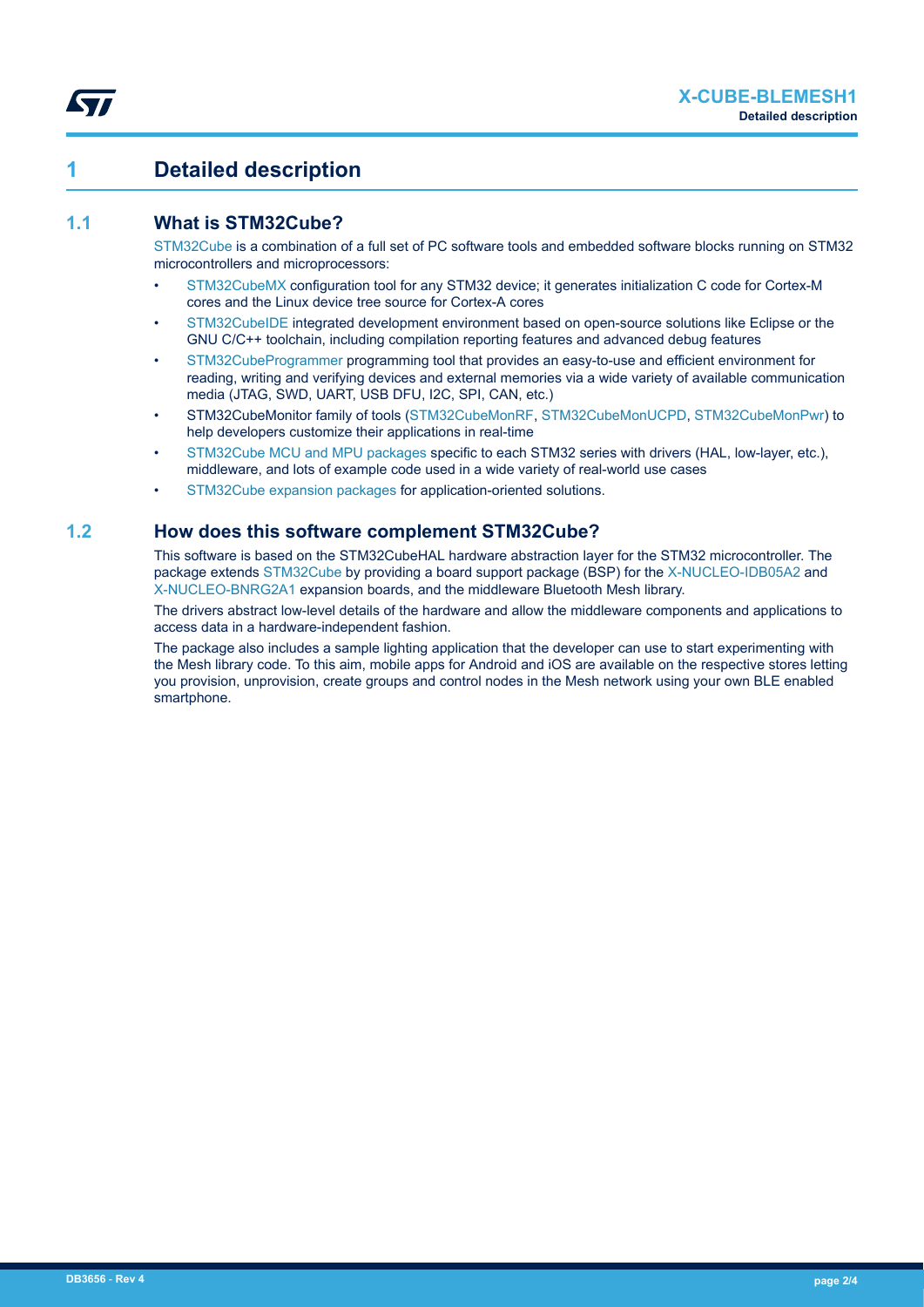## **1 Detailed description**

## **1.1 What is STM32Cube?**

[STM32Cube](https://www.st.com/stm32cube) is a combination of a full set of PC software tools and embedded software blocks running on STM32 microcontrollers and microprocessors:

- [STM32CubeMX](https://www.st.com/STM32CubeMX) configuration tool for any STM32 device; it generates initialization C code for Cortex-M cores and the Linux device tree source for Cortex-A cores
- [STM32CubeIDE](https://www.st.com/stm32cubeide) integrated development environment based on open-source solutions like Eclipse or the GNU C/C++ toolchain, including compilation reporting features and advanced debug features
- [STM32CubeProgrammer](https://www.st.com/stm32cubeprog) programming tool that provides an easy-to-use and efficient environment for reading, writing and verifying devices and external memories via a wide variety of available communication media (JTAG, SWD, UART, USB DFU, I2C, SPI, CAN, etc.)
- STM32CubeMonitor family of tools [\(STM32CubeMonRF](https://www.st.com/stm32cubemonrf), [STM32CubeMonUCPD,](https://www.st.com/stm32cubemonucpd) [STM32CubeMonPwr](https://www.st.com/stm32cubemonpwr)) to help developers customize their applications in real-time
- [STM32Cube MCU and MPU packages](https://www.st.com/en/embedded-software/stm32cube-mcu-mpu-packages.html) specific to each STM32 series with drivers (HAL, low-layer, etc.), middleware, and lots of example code used in a wide variety of real-world use cases
- [STM32Cube expansion packages](https://www.st.com/en/embedded-software/stm32cube-expansion-packages.html) for application-oriented solutions.

## **1.2 How does this software complement STM32Cube?**

This software is based on the STM32CubeHAL hardware abstraction layer for the STM32 microcontroller. The package extends [STM32Cube](https://www.st.com/stm32cube) by providing a board support package (BSP) for the [X-NUCLEO-IDB05A2](https://www.st.com/en/product/x-nucleo-idb05a2?ecmp=tt9470_gl_link_feb2019&rt=db&id=DB3656) and [X-NUCLEO-BNRG2A1](https://www.st.com/en/product/x-nucleo-bnrg2a1?ecmp=tt9470_gl_link_feb2019&rt=db&id=DB3656) expansion boards, and the middleware Bluetooth Mesh library.

The drivers abstract low-level details of the hardware and allow the middleware components and applications to access data in a hardware-independent fashion.

The package also includes a sample lighting application that the developer can use to start experimenting with the Mesh library code. To this aim, mobile apps for Android and iOS are available on the respective stores letting you provision, unprovision, create groups and control nodes in the Mesh network using your own BLE enabled smartphone.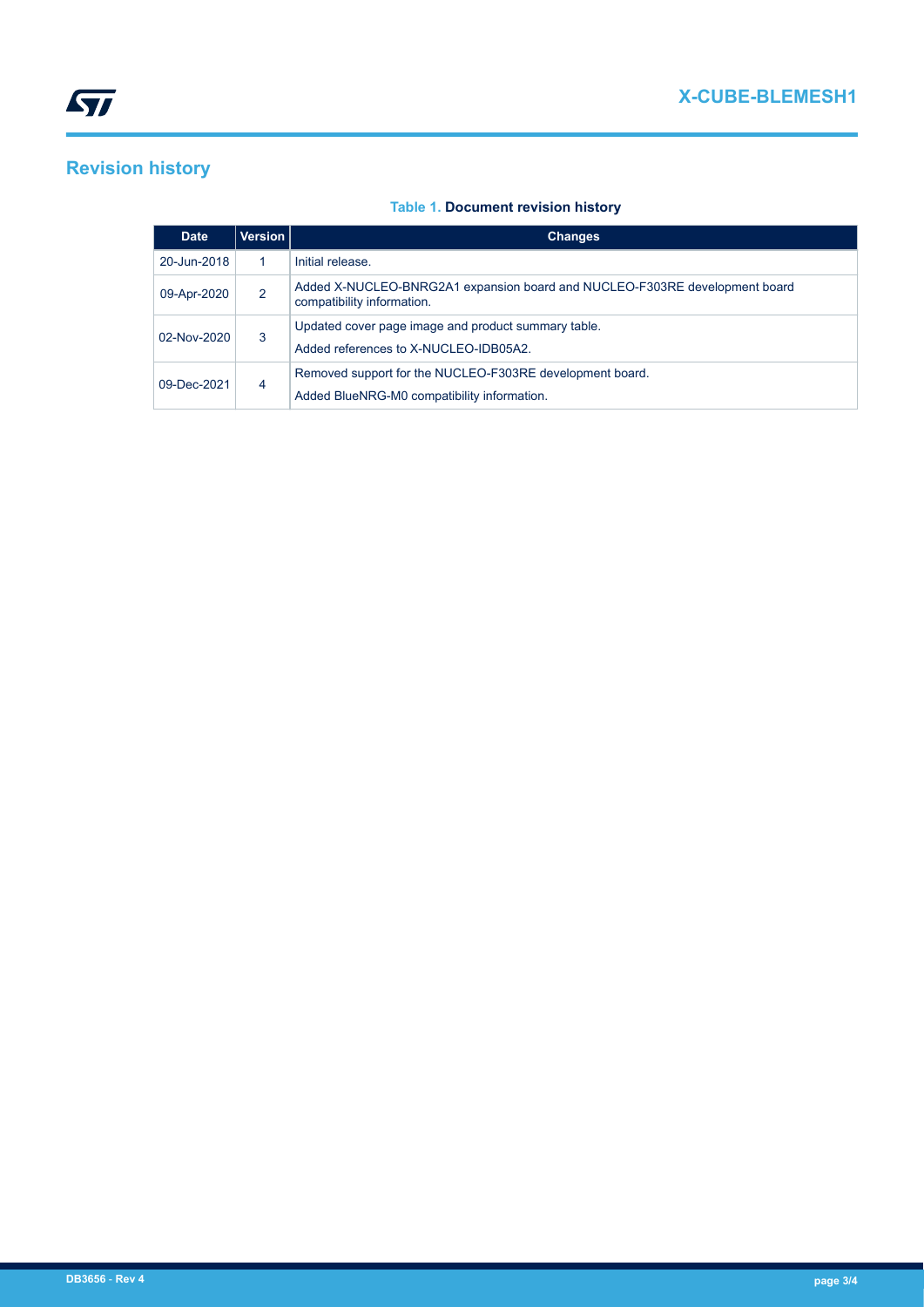# **Revision history**

### **Table 1. Document revision history**

| <b>Date</b> | Version | <b>Changes</b>                                                                                           |
|-------------|---------|----------------------------------------------------------------------------------------------------------|
| 20-Jun-2018 |         | Initial release.                                                                                         |
| 09-Apr-2020 | 2       | Added X-NUCLEO-BNRG2A1 expansion board and NUCLEO-F303RE development board<br>compatibility information. |
| 02-Nov-2020 | 3       | Updated cover page image and product summary table.<br>Added references to X-NUCLEO-IDB05A2.             |
| 09-Dec-2021 | 4       | Removed support for the NUCLEO-F303RE development board.<br>Added BlueNRG-M0 compatibility information.  |